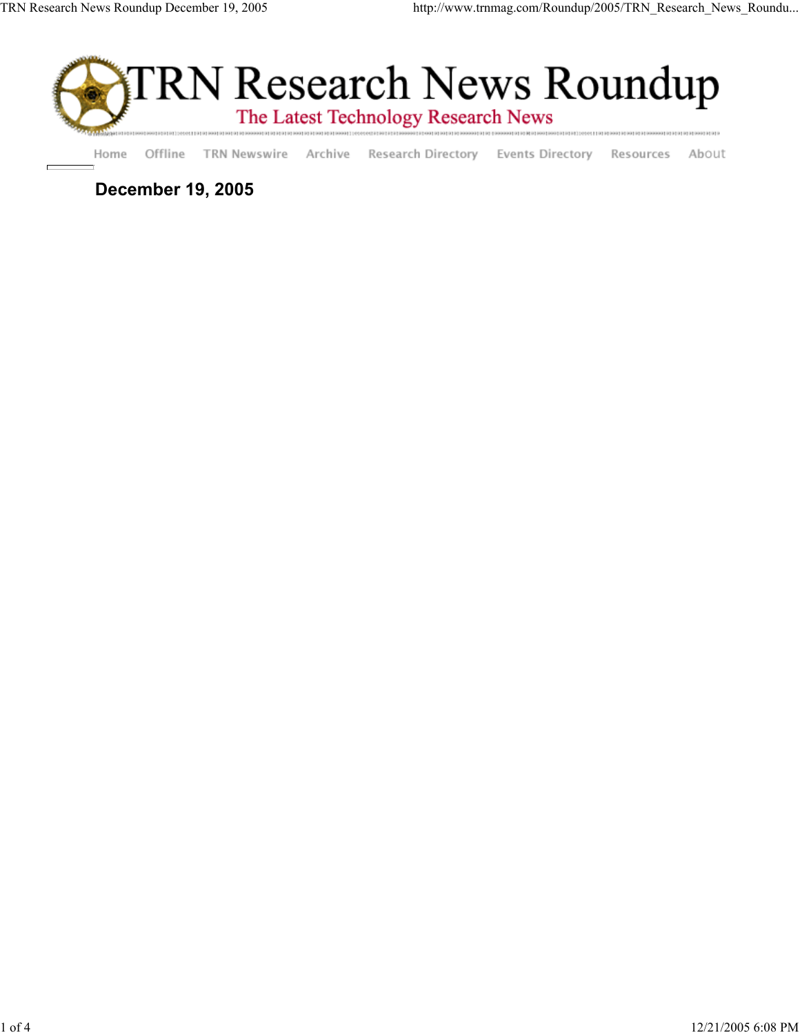

Offline TRN Newswire Archive Research Directory Events Directory Resources About Home

**December 19, 2005**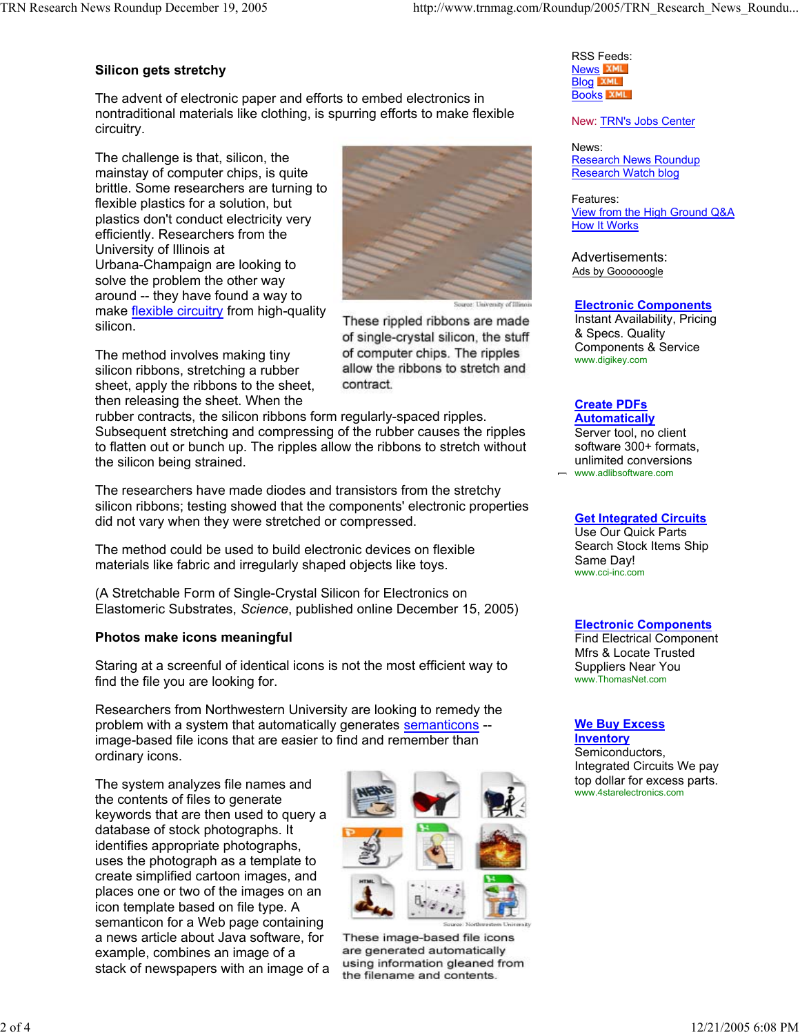# **Silicon gets stretchy**

The advent of electronic paper and efforts to embed electronics in nontraditional materials like clothing, is spurring efforts to make flexible circuitry.

The challenge is that, silicon, the mainstay of computer chips, is quite brittle. Some researchers are turning to flexible plastics for a solution, but plastics don't conduct electricity very efficiently. Researchers from the University of Illinois at Urbana-Champaign are looking to solve the problem the other way around -- they have found a way to make flexible circuitry from high-quality silicon.

The method involves making tiny silicon ribbons, stretching a rubber sheet, apply the ribbons to the sheet, then releasing the sheet. When the

rubber contracts, the silicon ribbons form regularly-spaced ripples. Subsequent stretching and compressing of the rubber causes the ripples to flatten out or bunch up. The ripples allow the ribbons to stretch without the silicon being strained.

contract.

The researchers have made diodes and transistors from the stretchy silicon ribbons; testing showed that the components' electronic properties did not vary when they were stretched or compressed.

The method could be used to build electronic devices on flexible materials like fabric and irregularly shaped objects like toys.

(A Stretchable Form of Single-Crystal Silicon for Electronics on Elastomeric Substrates, *Science*, published online December 15, 2005)

# **Photos make icons meaningful**

Staring at a screenful of identical icons is not the most efficient way to find the file you are looking for.

Researchers from Northwestern University are looking to remedy the problem with a system that automatically generates semanticons -image-based file icons that are easier to find and remember than ordinary icons.

The system analyzes file names and the contents of files to generate keywords that are then used to query a database of stock photographs. It identifies appropriate photographs, uses the photograph as a template to create simplified cartoon images, and places one or two of the images on an icon template based on file type. A semanticon for a Web page containing a news article about Java software, for example, combines an image of a stack of newspapers with an image of a



These image-based file icons are generated automatically using information gleaned from the filename and contents.

RSS Feeds: **News XML Blog XML Books** XML

New: TRN's Jobs Center

News: Research News Roundup Research Watch blog

Features: View from the High Ground Q&A How It Works

Advertisements: Ads by Goooooogle

uroe: University of I

These rippled ribbons are made of single-crystal silicon, the stuff of computer chips. The ripples allow the ribbons to stretch and

### **Electronic Components**

Instant Availability, Pricing & Specs. Quality Components & Service www.digikey.com

# **Create PDFs**

**Automatically** Server tool, no client software 300+ formats, unlimited conversions www.adlibsoftware.com

### **Get Integrated Circuits**

Use Our Quick Parts Search Stock Items Ship Same Day! www.cci-inc.com

## **Electronic Components**

Find Electrical Component Mfrs & Locate Trusted Suppliers Near You www.ThomasNet.com

#### **We Buy Excess Inventory**

Semiconductors, Integrated Circuits We pay top dollar for excess parts. www.4starelectronics.com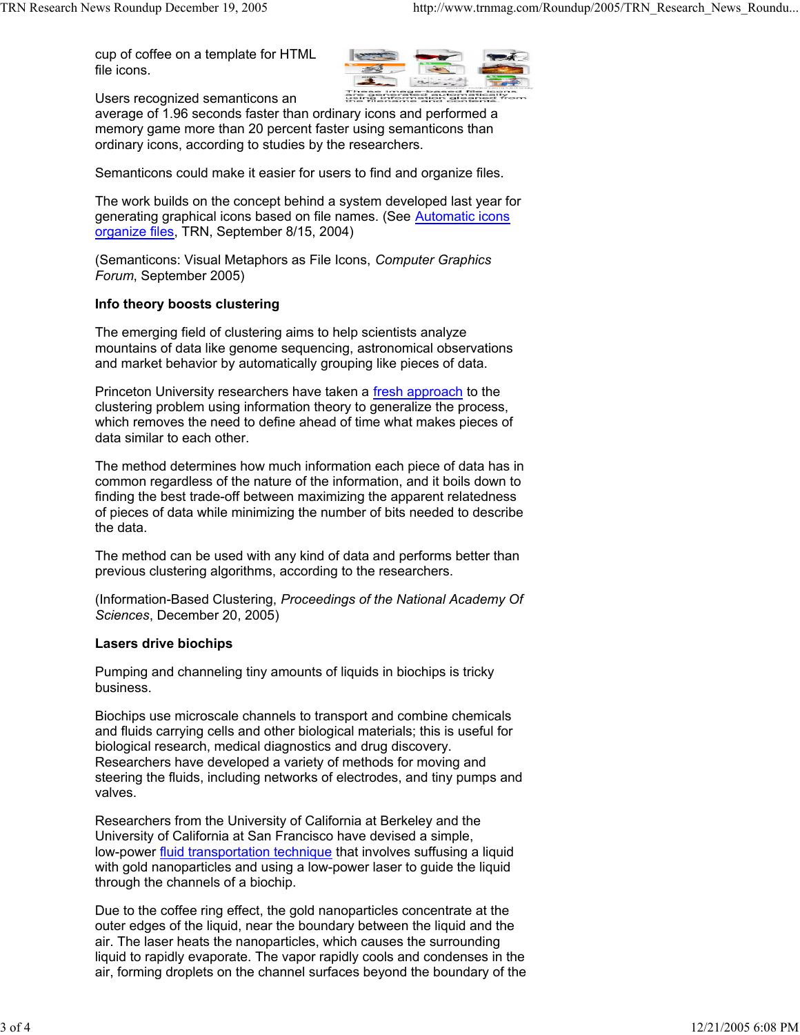cup of coffee on a template for HTML file icons.



Users recognized semanticons an

average of 1.96 seconds faster than ordinary icons and performed a memory game more than 20 percent faster using semanticons than ordinary icons, according to studies by the researchers.

Semanticons could make it easier for users to find and organize files.

The work builds on the concept behind a system developed last year for generating graphical icons based on file names. (See Automatic icons organize files, TRN, September 8/15, 2004)

(Semanticons: Visual Metaphors as File Icons, *Computer Graphics Forum*, September 2005)

# **Info theory boosts clustering**

The emerging field of clustering aims to help scientists analyze mountains of data like genome sequencing, astronomical observations and market behavior by automatically grouping like pieces of data.

Princeton University researchers have taken a fresh approach to the clustering problem using information theory to generalize the process, which removes the need to define ahead of time what makes pieces of data similar to each other.

The method determines how much information each piece of data has in common regardless of the nature of the information, and it boils down to finding the best trade-off between maximizing the apparent relatedness of pieces of data while minimizing the number of bits needed to describe the data.

The method can be used with any kind of data and performs better than previous clustering algorithms, according to the researchers.

(Information-Based Clustering, *Proceedings of the National Academy Of Sciences*, December 20, 2005)

## **Lasers drive biochips**

Pumping and channeling tiny amounts of liquids in biochips is tricky business.

Biochips use microscale channels to transport and combine chemicals and fluids carrying cells and other biological materials; this is useful for biological research, medical diagnostics and drug discovery. Researchers have developed a variety of methods for moving and steering the fluids, including networks of electrodes, and tiny pumps and valves.

Researchers from the University of California at Berkeley and the University of California at San Francisco have devised a simple, low-power fluid transportation technique that involves suffusing a liquid with gold nanoparticles and using a low-power laser to guide the liquid through the channels of a biochip.

Due to the coffee ring effect, the gold nanoparticles concentrate at the outer edges of the liquid, near the boundary between the liquid and the air. The laser heats the nanoparticles, which causes the surrounding liquid to rapidly evaporate. The vapor rapidly cools and condenses in the air, forming droplets on the channel surfaces beyond the boundary of the